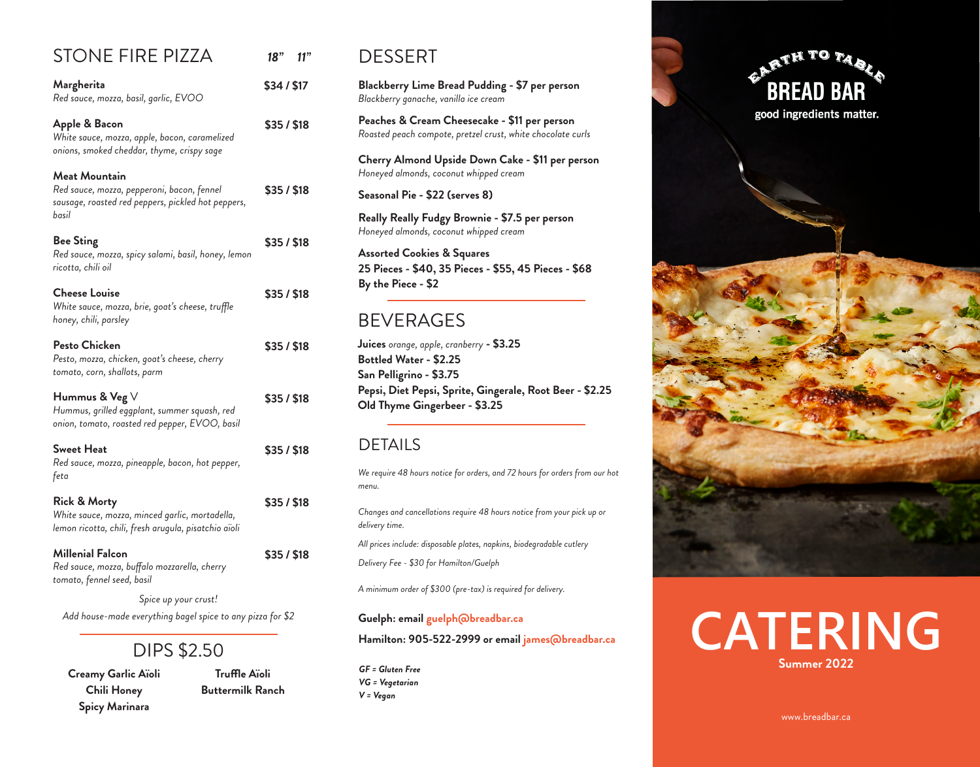## STONE FIRE PIZZA

| Margherita<br>Red sauce, mozza, basil, garlic, EVOO                                                                               | \$34/\$17 |
|-----------------------------------------------------------------------------------------------------------------------------------|-----------|
| Apple & Bacon<br>White sauce, mozza, apple, bacon, caramelized<br>onions, smoked cheddar, thyme, crispy sage                      | \$35/\$18 |
| <b>Meat Mountain</b><br>Red sauce, mozza, pepperoni, bacon, fennel<br>sausage, roasted red peppers, pickled hot peppers,<br>basil | \$35/\$18 |
| <b>Bee Sting</b><br>Red sauce, mozza, spicy salami, basil, honey, lemon<br>ricotta, chili oil                                     | \$35/\$18 |
| <b>Cheese Louise</b><br>White sauce, mozza, brie, goat's cheese, truffle<br>honey, chili, parsley                                 | \$35/\$18 |
| Pesto Chicken<br>Pesto, mozza, chicken, goat's cheese, cherry<br>tomato, corn, shallots, parm                                     | \$35/\$18 |
| Hummus & Veg V<br>Hummus, grilled eggplant, summer squash, red<br>onion, tomato, roasted red pepper, EVOO, basil                  | \$35/\$18 |
| Sweet Heat<br>Red sauce, mozza, pineapple, bacon, hot pepper,<br>feta                                                             | \$35/\$18 |
| <b>Rick &amp; Morty</b><br>White sauce, mozza, minced garlic, mortadella,<br>lemon ricotta, chili, fresh arugula, pisatchio aïoli | \$35/\$18 |
| Millenial Falcon<br>Red sauce, mozza, buffalo mozzarella, cherry<br>tomato, fennel seed, basil                                    | \$35/\$18 |
|                                                                                                                                   |           |

*Spice up your crust! Add house-made everything bagel spice to any pizza for \$2*

# DIPS \$2.50

**Creamy Garlic Aïoli Chili Honey Spicy Marinara**

**Truffle Aïoli Buttermilk Ranch**

#### DESSERT

*18"* 

 *11"*

**Blackberry Lime Bread Pudding - \$7 per person** *Blackberry ganache, vanilla ice cream*

**Peaches & Cream Cheesecake - \$11 per person** *Roasted peach compote, pretzel crust, white chocolate curls*

**Cherry Almond Upside Down Cake - \$11 per person** *Honeyed almonds, coconut whipped cream*

**Seasonal Pie - \$22 (serves 8)**

**Really Really Fudgy Brownie - \$7.5 per person** *Honeyed almonds, coconut whipped cream*

**Assorted Cookies & Squares 25 Pieces - \$40, 35 Pieces - \$55, 45 Pieces - \$68 By the Piece - \$2**

#### BEVERAGES

**Juices** *orange, apple, cranberry* **- \$3.25 Bottled Water - \$2.25 San Pelligrino - \$3.75 Pepsi, Diet Pepsi, Sprite, Gingerale, Root Beer - \$2.25 Old Thyme Gingerbeer - \$3.25**

#### DETAILS

*We require 48 hours notice for orders, and 72 hours for orders from our hot menu.*

*Changes and cancellations require 48 hours notice from your pick up or delivery time.*

*All prices include: disposable plates, napkins, biodegradable cutlery*

*Delivery Fee - \$30 for Hamilton/Guelph*

*A minimum order of \$300 (pre-tax) is required for delivery.*

#### **Guelph: email guelph@breadbar.ca**

**Hamilton: 905-522-2999 or email james@breadbar.ca**

*GF = Gluten Free VG = Vegetarian V = Vegan*





# **CATERING Summer 2022**

www.breadbar.ca